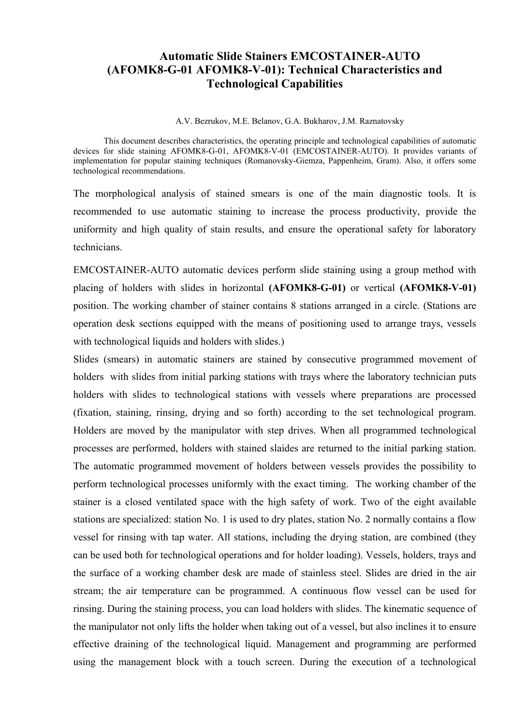# **Automatic Slide Stainers EMCOSTAINER-AUTO (AFOMK8-G-01 AFOMK8-V-01): Technical Characteristics and Technological Capabilities**

A.V. Bezrukov, M.E. Belanov, G.A. Bukharov, J.M. Raznatovsky

This document describes characteristics, the operating principle and technological capabilities of automatic devices for slide staining AFOMK8-G-01, AFOMK8-V-01 (EMCOSTAINER-AUTO). It provides variants of implementation for popular staining techniques (Romanovsky-Giemza, Pappenheim, Gram). Also, it offers some technological recommendations.

The morphological analysis of stained smears is one of the main diagnostic tools. It is recommended to use automatic staining to increase the process productivity, provide the uniformity and high quality of stain results, and ensure the operational safety for laboratory technicians.

EMCOSTAINER-AUTO automatic devices perform slide staining using a group method with placing of holders with slides in horizontal **(AFOMK8-G-01)** or vertical **(AFOMK8-V-01)** position. The working chamber of stainer contains 8 stations arranged in a circle. (Stations are operation desk sections equipped with the means of positioning used to arrange trays, vessels with technological liquids and holders with slides.)

Slides (smears) in automatic stainers are stained by consecutive programmed movement of holders with slides from initial parking stations with trays where the laboratory technician puts holders with slides to technological stations with vessels where preparations are processed (fixation, staining, rinsing, drying and so forth) according to the set technological program. Holders are moved by the manipulator with step drives. When all programmed technological processes are performed, holders with stained slaides are returned to the initial parking station. The automatic programmed movement of holders between vessels provides the possibility to perform technological processes uniformly with the exact timing. The working chamber of the stainer is a closed ventilated space with the high safety of work. Two of the eight available stations are specialized: station No. 1 is used to dry plates, station No. 2 normally contains a flow vessel for rinsing with tap water. All stations, including the drying station, are combined (they can be used both for technological operations and for holder loading). Vessels, holders, trays and the surface of a working chamber desk are made of stainless steel. Slides are dried in the air stream; the air temperature can be programmed. A continuous flow vessel can be used for rinsing. During the staining process, you can load holders with slides. The kinematic sequence of the manipulator not only lifts the holder when taking out of a vessel, but also inclines it to ensure effective draining of the technological liquid. Management and programming are performed using the management block with a touch screen. During the execution of a technological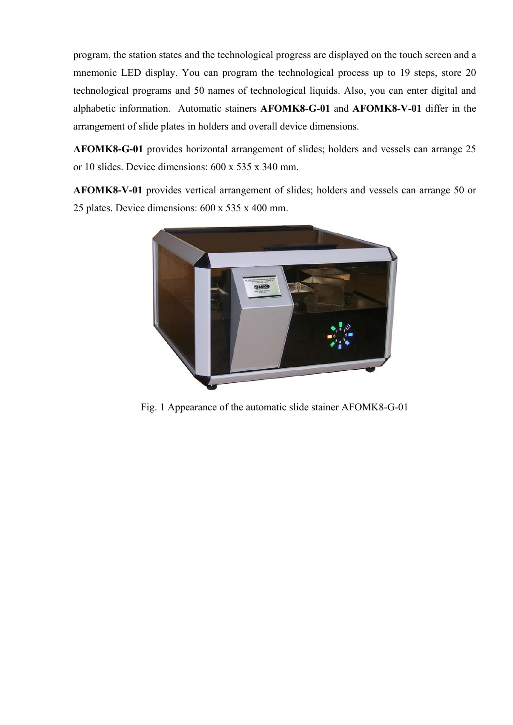program, the station states and the technological progress are displayed on the touch screen and a mnemonic LED display. You can program the technological process up to 19 steps, store 20 technological programs and 50 names of technological liquids. Also, you can enter digital and alphabetic information. Automatic stainers **AFOMK8-G-01** and **АFOMK8-V-01** differ in the arrangement of slide plates in holders and overall device dimensions.

**AFOMK8-G-01** provides horizontal arrangement of slides; holders and vessels can arrange 25 or 10 slides. Device dimensions: 600 х 535 х 340 mm.

**AFOMK8-V-01** provides vertical arrangement of slides; holders and vessels can arrange 50 or 25 plates. Device dimensions: 600 х 535 х 400 mm.



Fig. 1 Appearance of the automatic slide stainer AFOMK8-G-01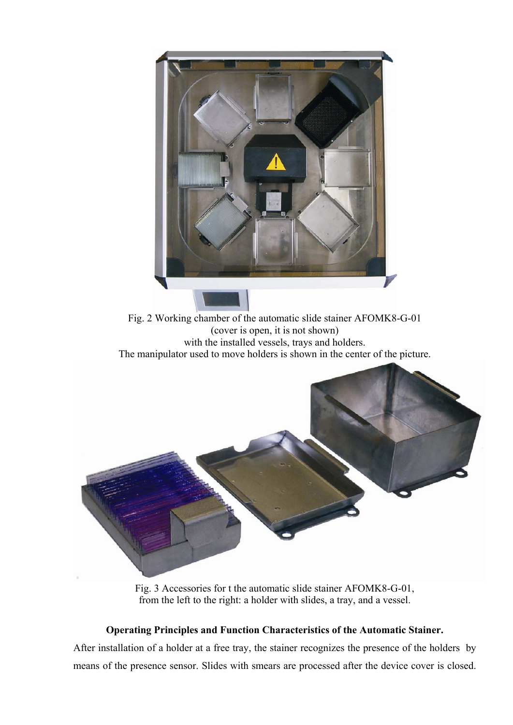

Fig. 3 Accessories for t the automatic slide stainer AFOMK8-G-01, from the left to the right: a holder with slides, a tray, and a vessel.

# **Operating Principles and Function Characteristics of the Automatic Stainer.**

After installation of a holder at a free tray, the stainer recognizes the presence of the holders by means of the presence sensor. Slides with smears are processed after the device cover is closed.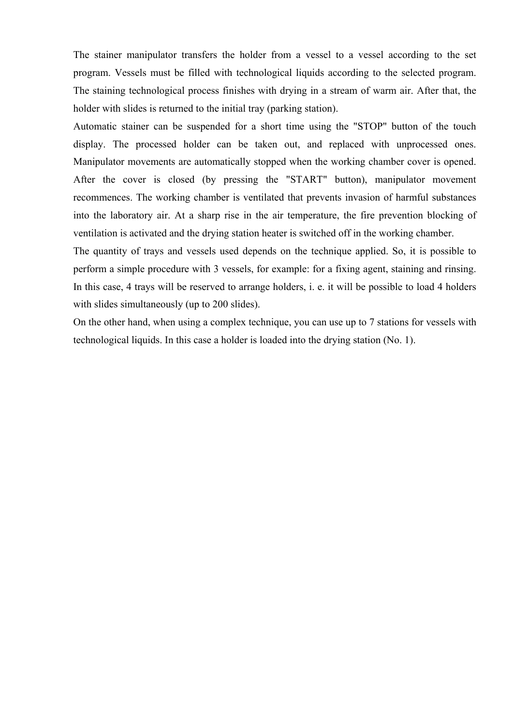The stainer manipulator transfers the holder from a vessel to a vessel according to the set program. Vessels must be filled with technological liquids according to the selected program. The staining technological process finishes with drying in a stream of warm air. After that, the holder with slides is returned to the initial tray (parking station).

Automatic stainer can be suspended for a short time using the "STOP" button of the touch display. The processed holder can be taken out, and replaced with unprocessed ones. Manipulator movements are automatically stopped when the working chamber cover is opened. After the cover is closed (by pressing the "START" button), manipulator movement recommences. The working chamber is ventilated that prevents invasion of harmful substances into the laboratory air. At a sharp rise in the air temperature, the fire prevention blocking of ventilation is activated and the drying station heater is switched off in the working chamber.

The quantity of trays and vessels used depends on the technique applied. So, it is possible to perform a simple procedure with 3 vessels, for example: for a fixing agent, staining and rinsing. In this case, 4 trays will be reserved to arrange holders, i. e. it will be possible to load 4 holders with slides simultaneously (up to 200 slides).

On the other hand, when using a complex technique, you can use up to 7 stations for vessels with technological liquids. In this case a holder is loaded into the drying station (No. 1).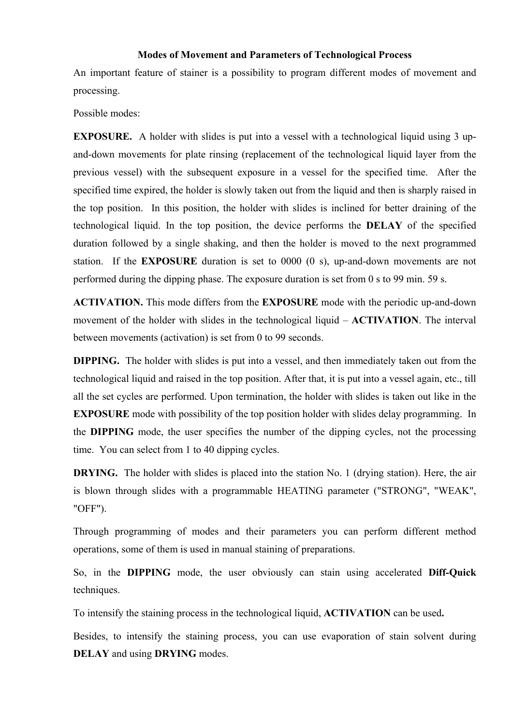#### **Modes of Movement and Parameters of Technological Process**

An important feature of stainer is a possibility to program different modes of movement and processing.

Possible modes:

**EXPOSURE.** A holder with slides is put into a vessel with a technological liquid using 3 upand-down movements for plate rinsing (replacement of the technological liquid layer from the previous vessel) with the subsequent exposure in a vessel for the specified time. After the specified time expired, the holder is slowly taken out from the liquid and then is sharply raised in the top position. In this position, the holder with slides is inclined for better draining of the technological liquid. In the top position, the device performs the **DELAY** of the specified duration followed by a single shaking, and then the holder is moved to the next programmed station. If the **EXPOSURE** duration is set to 0000 (0 s), up-and-down movements are not performed during the dipping phase. The exposure duration is set from 0 s to 99 min. 59 s.

**ACTIVATION.** This mode differs from the **EXPOSURE** mode with the periodic up-and-down movement of the holder with slides in the technological liquid – **ACTIVATION**. The interval between movements (activation) is set from 0 to 99 seconds.

**DIPPING.** The holder with slides is put into a vessel, and then immediately taken out from the technological liquid and raised in the top position. After that, it is put into a vessel again, etc., till all the set cycles are performed. Upon termination, the holder with slides is taken out like in the **EXPOSURE** mode with possibility of the top position holder with slides delay programming. In the **DIPPING** mode, the user specifies the number of the dipping cycles, not the processing time. You can select from 1 to 40 dipping cycles.

**DRYING.** The holder with slides is placed into the station No. 1 (drying station). Here, the air is blown through slides with a programmable HEATING parameter ("STRONG", "WEAK", "OFF").

Through programming of modes and their parameters you can perform different method operations, some of them is used in manual staining of preparations.

So, in the **DIPPING** mode, the user obviously can stain using accelerated **Diff-Quick** techniques.

To intensify the staining process in the technological liquid, **ACTIVATION** can be used**.** 

Besides, to intensify the staining process, you can use evaporation of stain solvent during **DELAY** and using **DRYING** modes.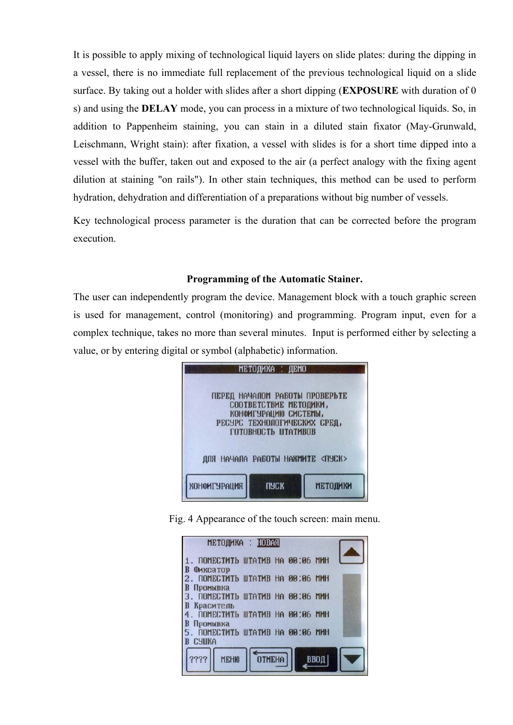It is possible to apply mixing of technological liquid layers on slide plates: during the dipping in a vessel, there is no immediate full replacement of the previous technological liquid on a slide surface. By taking out a holder with slides after a short dipping (**EXPOSURE** with duration of 0 s) and using the **DELAY** mode, you can process in a mixture of two technological liquids. So, in addition to Pappenheim staining, you can stain in a diluted stain fixator (May-Grunwald, Leischmann, Wright stain): after fixation, a vessel with slides is for a short time dipped into a vessel with the buffer, taken out and exposed to the air (a perfect analogy with the fixing agent dilution at staining "on rails"). In other stain techniques, this method can be used to perform hydration, dehydration and differentiation of a preparations without big number of vessels.

Key technological process parameter is the duration that can be corrected before the program execution.

### **Programming of the Automatic Stainer.**

The user can independently program the device. Management block with a touch graphic screen is used for management, control (monitoring) and programming. Program input, even for a complex technique, takes no more than several minutes. Input is performed either by selecting a value, or by entering digital or symbol (alphabetic) information.



Fig. 4 Appearance of the touch screen: main menu.

|  | МЕТОДИКА : НОВАЯ<br><b>OTMEHA</b> | ПОМЕСТИТЬ ШТАТИВ НА 00:06 МИН<br><b>ПОМЕСТИТЬ ШТАТИВ НА 00:06 МИН</b><br>. ПОМЕСТИТЬ ШТАТИВ НА 00:06 МИН<br>ПОМЕСТИТЬ ШТАТИВ НА 00:06 МИН<br>ПОМЕСТИТЬ ШТАТИВ НА 00:06 МИН<br>ввод |
|--|-----------------------------------|------------------------------------------------------------------------------------------------------------------------------------------------------------------------------------|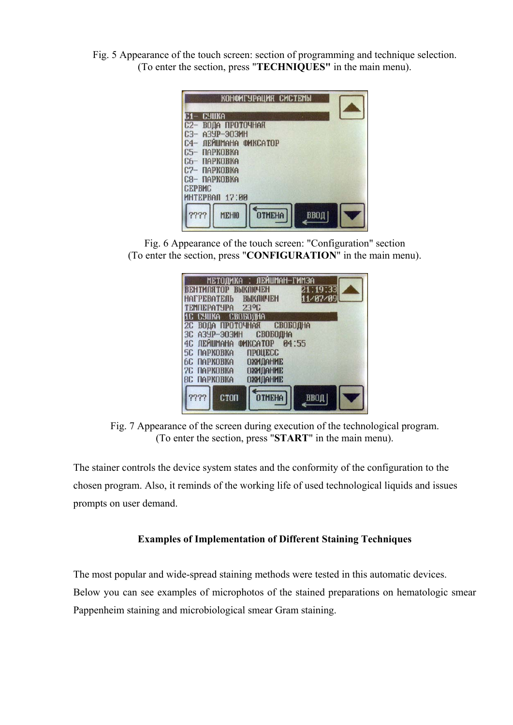Fig. 5 Appearance of the touch screen: section of programming and technique selection. (To enter the section, press "**TECHNIQUES"** in the main menu).

|                                         | КОНФИГУРАЦИЯ СИСТЕМЫ          |      |  |
|-----------------------------------------|-------------------------------|------|--|
| CYNIKA                                  |                               |      |  |
| $C2-$                                   | ВОДА ПРОТОЧНАЯ                |      |  |
| A3YP-903MH<br>$C3-$                     |                               |      |  |
| C <sub>4</sub>                          | ЛЕЙШМАНА ФИКСАТОР             |      |  |
| <b><i><u>ПАРКОВКА</u></i></b><br>$65 -$ |                               |      |  |
| C6- NAPKOBKA                            |                               |      |  |
| $C2-$<br><b>ПАРКОВКА</b>                |                               |      |  |
| ПАРКОВКА<br>$6$                         |                               |      |  |
| <b>CEPBMC</b>                           |                               |      |  |
| MHTEPBAN 17:00                          |                               |      |  |
| ????                                    | <b>OTMEHA</b><br><b>MEHI0</b> | ввод |  |

Fig. 6 Appearance of the touch screen: "Configuration" section (To enter the section, press "**CONFIGURATION**" in the main menu).

| МЕТОДИКА : ЛЕЙШМАН-ГИМЗА                         |
|--------------------------------------------------|
| 21:19:33<br><b>ВЕНТИЛЯТОР</b><br><b>ВЫКЛЮЧЕН</b> |
| 11/07/09<br>НАГРЕВАТЕЛЬ ВЫКЛЮЧЕН                 |
| ТЕМПЕРАТУРА 23°С                                 |
| 1C CYWKA<br>СВОБОДНА                             |
| 2C<br>ВОДА ПРОТОЧНАЯ<br>СВОБОДНА                 |
| 30<br>A3YP-903MH<br>CBOGOOHA                     |
| 4C NEMWAHA OMKCATOP<br><b>P4:55</b>              |
| <b>TIPOUECC</b><br>5C NAPKOBKA                   |
| ОЖИДАНИЕ<br>6C NAPKOBKA                          |
| <b>ПАРКОВКА</b><br>ОЖИДАНИЕ<br>20                |
| ОЖИДАНИЕ<br><b>8C NAPKOBKA</b>                   |
|                                                  |
| <b>OTMEHA</b><br><b>CTON</b><br>ввод             |
|                                                  |

Fig. 7 Appearance of the screen during execution of the technological program. (To enter the section, press "**START**" in the main menu).

The stainer controls the device system states and the conformity of the configuration to the chosen program. Also, it reminds of the working life of used technological liquids and issues prompts on user demand.

### **Examples of Implementation of Different Staining Techniques**

The most popular and wide-spread staining methods were tested in this automatic devices. Below you can see examples of microphotos of the stained preparations on hematologic smear Pappenheim staining and microbiological smear Gram staining.